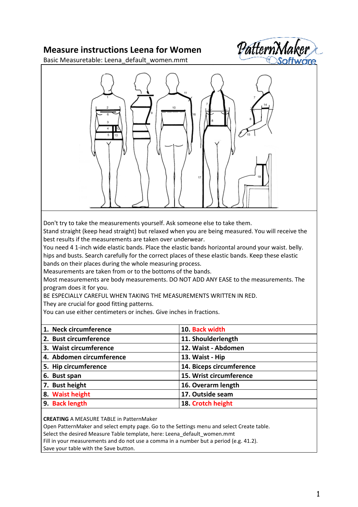# Measure instructions Leena for Women



Basic Measuretable: Leena\_default\_women.mmt



Don't try to take the measurements yourself. Ask someone else to take them.

Stand straight (keep head straight) but relaxed when you are being measured. You will receive the best results if the measurements are taken over underwear.

You need 4 1-inch wide elastic bands. Place the elastic bands horizontal around your waist. belly. hips and busts. Search carefully for the correct places of these elastic bands. Keep these elastic bands on their places during the whole measuring process.

Measurements are taken from or to the bottoms of the bands.

Most measurements are body measurements. DO NOT ADD ANY EASE to the measurements. The program does it for you.

BE ESPECIALLY CAREFUL WHEN TAKING THE MEASUREMENTS WRITTEN IN RED.

They are crucial for good fitting patterns.

You can use either centimeters or inches. Give inches in fractions.

| 1. Neck circumference    | 10. Back width           |
|--------------------------|--------------------------|
| 2. Bust circumference    | 11. Shoulderlength       |
| 3. Waist circumference   | 12. Waist - Abdomen      |
| 4. Abdomen circumference | 13. Waist - Hip          |
| 5. Hip circumference     | 14. Biceps circumference |
| 6. Bust span             | 15. Wrist circumference  |
| 7. Bust height           | 16. Overarm length       |
| 8. Waist height          | 17. Outside seam         |
| 9. Back length           | 18. Crotch height        |
|                          |                          |

CREATING A MEASURE TABLE in PatternMaker

Open PatternMaker and select empty page. Go to the Settings menu and select Create table.

Select the desired Measure Table template, here: Leena\_default\_women.mmt

Fill in your measurements and do not use a comma in a number but a period (e.g. 41.2).

Save your table with the Save button.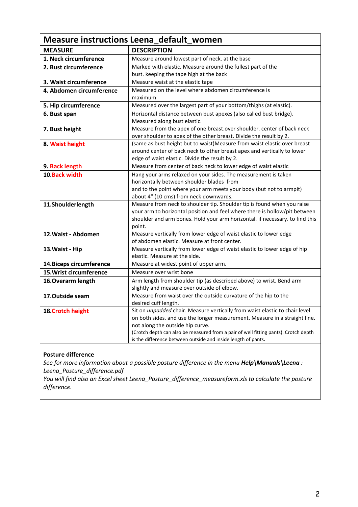| <b>Measure instructions Leena_default_women</b> |                                                                                                                                                       |  |  |  |  |  |  |
|-------------------------------------------------|-------------------------------------------------------------------------------------------------------------------------------------------------------|--|--|--|--|--|--|
| <b>MEASURE</b>                                  | <b>DESCRIPTION</b>                                                                                                                                    |  |  |  |  |  |  |
| 1. Neck circumference                           | Measure around lowest part of neck. at the base                                                                                                       |  |  |  |  |  |  |
| 2. Bust circumference                           | Marked with elastic. Measure around the fullest part of the                                                                                           |  |  |  |  |  |  |
|                                                 | bust. keeping the tape high at the back                                                                                                               |  |  |  |  |  |  |
| 3. Waist circumference                          | Measure waist at the elastic tape                                                                                                                     |  |  |  |  |  |  |
| 4. Abdomen circumference                        | Measured on the level where abdomen circumference is                                                                                                  |  |  |  |  |  |  |
|                                                 | maximum                                                                                                                                               |  |  |  |  |  |  |
| 5. Hip circumference                            | Measured over the largest part of your bottom/thighs (at elastic).                                                                                    |  |  |  |  |  |  |
| 6. Bust span                                    | Horizontal distance between bust apexes (also called bust bridge).                                                                                    |  |  |  |  |  |  |
|                                                 | Measured along bust elastic.                                                                                                                          |  |  |  |  |  |  |
| 7. Bust height                                  | Measure from the apex of one breast.over shoulder. center of back neck                                                                                |  |  |  |  |  |  |
|                                                 | over shoulder to apex of the other breast. Divide the result by 2.                                                                                    |  |  |  |  |  |  |
| 8. Waist height                                 | (same as bust height but to waist)Measure from waist elastic over breast                                                                              |  |  |  |  |  |  |
|                                                 | around center of back neck to other breast apex and vertically to lower                                                                               |  |  |  |  |  |  |
|                                                 | edge of waist elastic. Divide the result by 2.                                                                                                        |  |  |  |  |  |  |
| 9. Back length                                  | Measure from center of back neck to lower edge of waist elastic                                                                                       |  |  |  |  |  |  |
| 10. Back width                                  | Hang your arms relaxed on your sides. The measurement is taken                                                                                        |  |  |  |  |  |  |
|                                                 | horizontally between shoulder blades from                                                                                                             |  |  |  |  |  |  |
|                                                 | and to the point where your arm meets your body (but not to armpit)                                                                                   |  |  |  |  |  |  |
|                                                 | about 4" (10 cms) from neck downwards.                                                                                                                |  |  |  |  |  |  |
| 11.Shoulderlength                               | Measure from neck to shoulder tip. Shoulder tip is found when you raise<br>your arm to horizontal position and feel where there is hollow/pit between |  |  |  |  |  |  |
|                                                 | shoulder and arm bones. Hold your arm horizontal. if necessary. to find this                                                                          |  |  |  |  |  |  |
|                                                 | point.                                                                                                                                                |  |  |  |  |  |  |
| 12. Waist - Abdomen                             | Measure vertically from lower edge of waist elastic to lower edge                                                                                     |  |  |  |  |  |  |
|                                                 | of abdomen elastic. Measure at front center.                                                                                                          |  |  |  |  |  |  |
| 13. Waist - Hip                                 | Measure vertically from lower edge of waist elastic to lower edge of hip                                                                              |  |  |  |  |  |  |
|                                                 | elastic. Measure at the side.                                                                                                                         |  |  |  |  |  |  |
| 14. Biceps circumference                        | Measure at widest point of upper arm.                                                                                                                 |  |  |  |  |  |  |
| 15. Wrist circumference                         | Measure over wrist bone                                                                                                                               |  |  |  |  |  |  |
| 16. Overarm length                              | Arm length from shoulder tip (as described above) to wrist. Bend arm                                                                                  |  |  |  |  |  |  |
|                                                 | slightly and measure over outside of elbow.                                                                                                           |  |  |  |  |  |  |
| 17.Outside seam                                 | Measure from waist over the outside curvature of the hip to the                                                                                       |  |  |  |  |  |  |
|                                                 | desired cuff length.                                                                                                                                  |  |  |  |  |  |  |
| 18. Crotch height                               | Sit on unpadded chair. Measure vertically from waist elastic to chair level                                                                           |  |  |  |  |  |  |
|                                                 | on both sides. and use the longer measurement. Measure in a straight line.                                                                            |  |  |  |  |  |  |
|                                                 | not along the outside hip curve.                                                                                                                      |  |  |  |  |  |  |
|                                                 | (Crotch depth can also be measured from a pair of well fitting pants). Crotch depth                                                                   |  |  |  |  |  |  |
|                                                 | is the difference between outside and inside length of pants.                                                                                         |  |  |  |  |  |  |

#### Posture difference

See for more information about a possible posture difference in the menu Help\Manuals\Leena : Leena\_Posture\_difference.pdf

You will find also an Excel sheet Leena\_Posture\_difference\_measureform.xls to calculate the posture difference.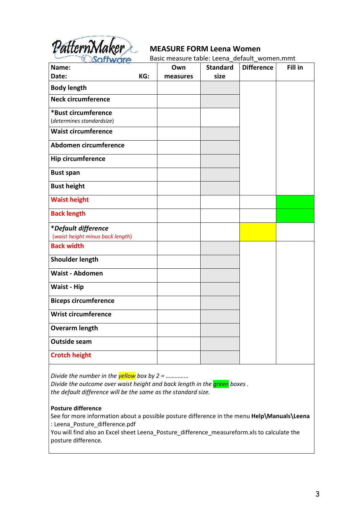

## MEASURE FORM Leena Women

Basic measure table: Leena\_default\_women.mmt

| Name:                                                   |     | Own      | <b>Standard</b> | <b>Difference</b> | Fill in |
|---------------------------------------------------------|-----|----------|-----------------|-------------------|---------|
| Date:                                                   | KG: | measures | size            |                   |         |
| <b>Body length</b>                                      |     |          |                 |                   |         |
| <b>Neck circumference</b>                               |     |          |                 |                   |         |
| *Bust circumference<br>(determines standardsize)        |     |          |                 |                   |         |
| <b>Waist circumference</b>                              |     |          |                 |                   |         |
| Abdomen circumference                                   |     |          |                 |                   |         |
| <b>Hip circumference</b>                                |     |          |                 |                   |         |
| <b>Bust span</b>                                        |     |          |                 |                   |         |
| <b>Bust height</b>                                      |     |          |                 |                   |         |
| <b>Waist height</b>                                     |     |          |                 |                   |         |
| <b>Back length</b>                                      |     |          |                 |                   |         |
| *Default difference<br>(waist height minus back length) |     |          |                 |                   |         |
| <b>Back width</b>                                       |     |          |                 |                   |         |
| <b>Shoulder length</b>                                  |     |          |                 |                   |         |
| <b>Waist - Abdomen</b>                                  |     |          |                 |                   |         |
| <b>Waist - Hip</b>                                      |     |          |                 |                   |         |
| <b>Biceps circumference</b>                             |     |          |                 |                   |         |
| <b>Wrist circumference</b>                              |     |          |                 |                   |         |
| <b>Overarm length</b>                                   |     |          |                 |                   |         |
| <b>Outside seam</b>                                     |     |          |                 |                   |         |
| <b>Crotch height</b>                                    |     |          |                 |                   |         |

Divide the number in the  $yellow$  box by  $2 =$  ............... Divide the outcome over waist height and back length in the *green* boxes. the default difference will be the same as the standard size.

#### Posture difference

See for more information about a possible posture difference in the menu Help\Manuals\Leena : Leena\_Posture\_difference.pdf

You will find also an Excel sheet Leena\_Posture\_difference\_measureform.xls to calculate the posture difference.